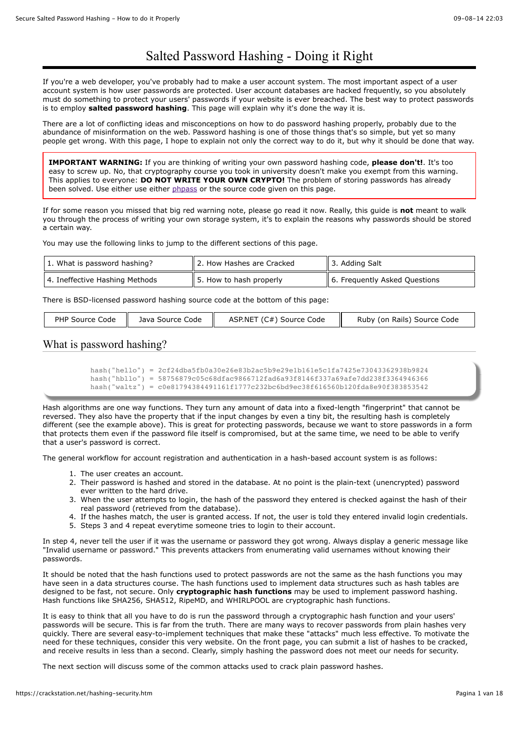# Salted Password Hashing - Doing it Right

If you're a web developer, you've probably had to make a user account system. The most important aspect of a user account system is how user passwords are protected. User account databases are hacked frequently, so you absolutely must do something to protect your users' passwords if your website is ever breached. The best way to protect passwords is to employ **salted password hashing**. This page will explain why it's done the way it is.

There are a lot of conflicting ideas and misconceptions on how to do password hashing properly, probably due to the abundance of misinformation on the web. Password hashing is one of those things that's so simple, but yet so many people get wrong. With this page, I hope to explain not only the correct way to do it, but why it should be done that way.

**IMPORTANT WARNING:** If you are thinking of writing your own password hashing code, **please don't!**. It's too easy to screw up. No, that cryptography course you took in university doesn't make you exempt from this warning. This applies to everyone: **DO NOT WRITE YOUR OWN CRYPTO!** The problem of storing passwords has already been solved. Use either use either [phpass](http://www.openwall.com/phpass/) or the source code given on this page.

If for some reason you missed that big red warning note, please go read it now. Really, this guide is **not** meant to walk you through the process of writing your own storage system, it's to explain the reasons why passwords should be stored a certain way.

You may use the following links to jump to the different sections of this page.

| 1. What is password hashing?   | 2. How Hashes are Cracked           | 13. Adding Salt               |
|--------------------------------|-------------------------------------|-------------------------------|
| 4. Ineffective Hashing Methods | $\parallel$ 5. How to hash properly | 6. Frequently Asked Questions |

There is BSD-licensed password hashing source code at the bottom of this page:

| PHP Source Code<br>- 11 | Java Source Code | ASP.NET (C#) Source Code | Ruby (on Rails) Source Code |
|-------------------------|------------------|--------------------------|-----------------------------|
|                         |                  |                          |                             |

# What is password hashing?

```
hash("hello") = 2cf24dba5fb0a30e26e83b2ac5b9e29e1b161e5c1fa7425e73043362938b9824
hash("hbllo") = 58756879c05c68dfac9866712fad6a93f8146f337a69afe7dd238f3364946366
hash("waltz") = c0e81794384491161f1777c232bc6bd9ec38f616560b120fda8e90f383853542
```
Hash algorithms are one way functions. They turn any amount of data into a fixed-length "fingerprint" that cannot be reversed. They also have the property that if the input changes by even a tiny bit, the resulting hash is completely different (see the example above). This is great for protecting passwords, because we want to store passwords in a form that protects them even if the password file itself is compromised, but at the same time, we need to be able to verify that a user's password is correct.

The general workflow for account registration and authentication in a hash-based account system is as follows:

- 1. The user creates an account.
- 2. Their password is hashed and stored in the database. At no point is the plain-text (unencrypted) password ever written to the hard drive.
- 3. When the user attempts to login, the hash of the password they entered is checked against the hash of their real password (retrieved from the database).
- 4. If the hashes match, the user is granted access. If not, the user is told they entered invalid login credentials.
- 5. Steps 3 and 4 repeat everytime someone tries to login to their account.

In step 4, never tell the user if it was the username or password they got wrong. Always display a generic message like "Invalid username or password." This prevents attackers from enumerating valid usernames without knowing their passwords.

It should be noted that the hash functions used to protect passwords are not the same as the hash functions you may have seen in a data structures course. The hash functions used to implement data structures such as hash tables are designed to be fast, not secure. Only **cryptographic hash functions** may be used to implement password hashing. Hash functions like SHA256, SHA512, RipeMD, and WHIRLPOOL are cryptographic hash functions.

It is easy to think that all you have to do is run the password through a cryptographic hash function and your users' passwords will be secure. This is far from the truth. There are many ways to recover passwords from plain hashes very quickly. There are several easy-to-implement techniques that make these "attacks" much less effective. To motivate the need for these techniques, consider this very website. On the front page, you can submit a list of hashes to be cracked, and receive results in less than a second. Clearly, simply hashing the password does not meet our needs for security.

The next section will discuss some of the common attacks used to crack plain password hashes.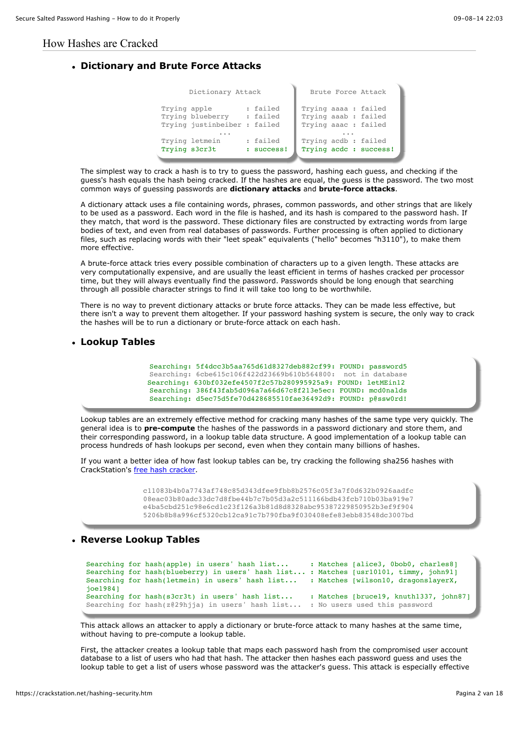#### How Hashes are Cracked

#### **Dictionary and Brute Force Attacks**

| Dictionary Attack                                                |                        | Brute Force Attack                                                  |
|------------------------------------------------------------------|------------------------|---------------------------------------------------------------------|
| Trying apple<br>Trying blueberry<br>Trying justinbeiber : failed | : failed<br>: failed   | Trying aaaa : failed<br>Trying aaab : failed<br>Trying aaac: failed |
| Trying letmein<br>Trying s3cr3t                                  | : failed<br>: success! | Trying acdb: failed<br>Trying acdc : success!                       |

The simplest way to crack a hash is to try to guess the password, hashing each guess, and checking if the guess's hash equals the hash being cracked. If the hashes are equal, the guess is the password. The two most common ways of guessing passwords are **dictionary attacks** and **brute-force attacks**.

A dictionary attack uses a file containing words, phrases, common passwords, and other strings that are likely to be used as a password. Each word in the file is hashed, and its hash is compared to the password hash. If they match, that word is the password. These dictionary files are constructed by extracting words from large bodies of text, and even from real databases of passwords. Further processing is often applied to dictionary files, such as replacing words with their "leet speak" equivalents ("hello" becomes "h3110"), to make them more effective.

A brute-force attack tries every possible combination of characters up to a given length. These attacks are very computationally expensive, and are usually the least efficient in terms of hashes cracked per processor time, but they will always eventually find the password. Passwords should be long enough that searching through all possible character strings to find it will take too long to be worthwhile.

There is no way to prevent dictionary attacks or brute force attacks. They can be made less effective, but there isn't a way to prevent them altogether. If your password hashing system is secure, the only way to crack the hashes will be to run a dictionary or brute-force attack on each hash.

#### **Lookup Tables**

Searching: 5f4dcc3b5aa765d61d8327deb882cf99: FOUND: password5 Searching: 6cbe615c106f422d23669b610b564800: not in database Searching: 630bf032efe4507f2c57b280995925a9: FOUND: letMEin12 Searching: 386f43fab5d096a7a66d67c8f213e5ec: FOUND: mcd0nalds Searching: d5ec75d5fe70d428685510fae36492d9: FOUND: p@ssw0rd!

Lookup tables are an extremely effective method for cracking many hashes of the same type very quickly. The general idea is to **pre-compute** the hashes of the passwords in a password dictionary and store them, and their corresponding password, in a lookup table data structure. A good implementation of a lookup table can process hundreds of hash lookups per second, even when they contain many billions of hashes.

If you want a better idea of how fast lookup tables can be, try cracking the following sha256 hashes with CrackStation's [free hash cracker.](https://crackstation.net/)

> c11083b4b0a7743af748c85d343dfee9fbb8b2576c05f3a7f0d632b0926aadfc 08eac03b80adc33dc7d8fbe44b7c7b05d3a2c511166bdb43fcb710b03ba919e7 e4ba5cbd251c98e6cd1c23f126a3b81d8d8328abc95387229850952b3ef9f904 5206b8b8a996cf5320cb12ca91c7b790fba9f030408efe83ebb83548dc3007bd

#### **Reverse Lookup Tables**

```
Searching for hash(apple) in users' hash list... : Matches [alice3, 0bob0, charles8]
Searching for hash(blueberry) in users' hash list... : Matches [usr10101, timmy, john91]
Searching for hash(letmein) in users' hash list... : Matches [wilson10, dragonslayerX,
joe1984]
Searching for hash(s3cr3t) in users' hash list... : Matches [bruce19, knuth1337, john87]
Searching for hash(z@29hjja) in users' hash list... : No users used this password
```
This attack allows an attacker to apply a dictionary or brute-force attack to many hashes at the same time, without having to pre-compute a lookup table.

First, the attacker creates a lookup table that maps each password hash from the compromised user account database to a list of users who had that hash. The attacker then hashes each password guess and uses the lookup table to get a list of users whose password was the attacker's guess. This attack is especially effective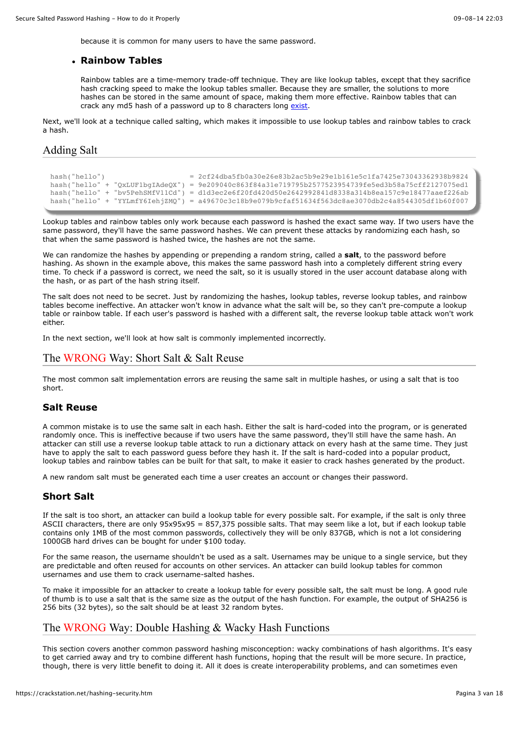because it is common for many users to have the same password.

#### **Rainbow Tables**

Rainbow tables are a time-memory trade-off technique. They are like lookup tables, except that they sacrifice hash cracking speed to make the lookup tables smaller. Because they are smaller, the solutions to more hashes can be stored in the same amount of space, making them more effective. Rainbow tables that can crack any md5 hash of a password up to 8 characters long [exist.](http://www.freerainbowtables.com/en/tables2/)

Next, we'll look at a technique called salting, which makes it impossible to use lookup tables and rainbow tables to crack a hash.

# Adding Salt

```
hash("hello") = 2cf24dba5fb0a30e26e83b2ac5b9e29e1b161e5c1fa7425e73043362938b9824
hash("hello" + "QxLUF1bgIAdeQX") = 9e209040c863f84a31e719795b2577523954739fe5ed3b58a75cff2127075ed1
hash("hello" + "bv5PehSMfV11Cd") = d1d3ec2e6f20fd420d50e2642992841d8338a314b8ea157c9e18477aaef226ab
hash("hello" + "YYLmfY6IehjZMQ") = a49670c3c18b9e079b9cfaf51634f563dc8ae3070db2c4a8544305df1b60f007
```
Lookup tables and rainbow tables only work because each password is hashed the exact same way. If two users have the same password, they'll have the same password hashes. We can prevent these attacks by randomizing each hash, so that when the same password is hashed twice, the hashes are not the same.

We can randomize the hashes by appending or prepending a random string, called a **salt**, to the password before hashing. As shown in the example above, this makes the same password hash into a completely different string every time. To check if a password is correct, we need the salt, so it is usually stored in the user account database along with the hash, or as part of the hash string itself.

The salt does not need to be secret. Just by randomizing the hashes, lookup tables, reverse lookup tables, and rainbow tables become ineffective. An attacker won't know in advance what the salt will be, so they can't pre-compute a lookup table or rainbow table. If each user's password is hashed with a different salt, the reverse lookup table attack won't work either.

In the next section, we'll look at how salt is commonly implemented incorrectly.

# The WRONG Way: Short Salt & Salt Reuse

The most common salt implementation errors are reusing the same salt in multiple hashes, or using a salt that is too short.

#### **Salt Reuse**

A common mistake is to use the same salt in each hash. Either the salt is hard-coded into the program, or is generated randomly once. This is ineffective because if two users have the same password, they'll still have the same hash. An attacker can still use a reverse lookup table attack to run a dictionary attack on every hash at the same time. They just have to apply the salt to each password guess before they hash it. If the salt is hard-coded into a popular product, lookup tables and rainbow tables can be built for that salt, to make it easier to crack hashes generated by the product.

A new random salt must be generated each time a user creates an account or changes their password.

# **Short Salt**

If the salt is too short, an attacker can build a lookup table for every possible salt. For example, if the salt is only three ASCII characters, there are only 95x95x95 = 857,375 possible salts. That may seem like a lot, but if each lookup table contains only 1MB of the most common passwords, collectively they will be only 837GB, which is not a lot considering 1000GB hard drives can be bought for under \$100 today.

For the same reason, the username shouldn't be used as a salt. Usernames may be unique to a single service, but they are predictable and often reused for accounts on other services. An attacker can build lookup tables for common usernames and use them to crack username-salted hashes.

To make it impossible for an attacker to create a lookup table for every possible salt, the salt must be long. A good rule of thumb is to use a salt that is the same size as the output of the hash function. For example, the output of SHA256 is 256 bits (32 bytes), so the salt should be at least 32 random bytes.

# The WRONG Way: Double Hashing & Wacky Hash Functions

This section covers another common password hashing misconception: wacky combinations of hash algorithms. It's easy to get carried away and try to combine different hash functions, hoping that the result will be more secure. In practice, though, there is very little benefit to doing it. All it does is create interoperability problems, and can sometimes even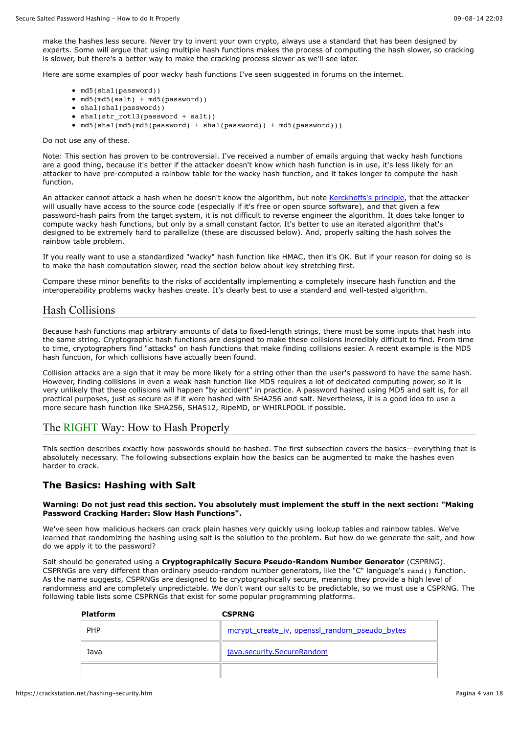make the hashes less secure. Never try to invent your own crypto, always use a standard that has been designed by experts. Some will argue that using multiple hash functions makes the process of computing the hash slower, so cracking is slower, but there's a better way to make the cracking process slower as we'll see later.

Here are some examples of poor wacky hash functions I've seen suggested in forums on the internet.

- md5(sha1(password))
- md5(md5(salt) + md5(password))
- sha1(sha1(password))
- sha1(str\_rot13(password + salt))
- md5(sha1(md5(md5(password) + sha1(password)) + md5(password)))

Do not use any of these.

Note: This section has proven to be controversial. I've received a number of emails arguing that wacky hash functions are a good thing, because it's better if the attacker doesn't know which hash function is in use, it's less likely for an attacker to have pre-computed a rainbow table for the wacky hash function, and it takes longer to compute the hash function.

An attacker cannot attack a hash when he doesn't know the algorithm, but note [Kerckhoffs's principle,](https://en.wikipedia.org/wiki/Kerckhoffs%27s_principle) that the attacker will usually have access to the source code (especially if it's free or open source software), and that given a few password-hash pairs from the target system, it is not difficult to reverse engineer the algorithm. It does take longer to compute wacky hash functions, but only by a small constant factor. It's better to use an iterated algorithm that's designed to be extremely hard to parallelize (these are discussed below). And, properly salting the hash solves the rainbow table problem.

If you really want to use a standardized "wacky" hash function like HMAC, then it's OK. But if your reason for doing so is to make the hash computation slower, read the section below about key stretching first.

Compare these minor benefits to the risks of accidentally implementing a completely insecure hash function and the interoperability problems wacky hashes create. It's clearly best to use a standard and well-tested algorithm.

# Hash Collisions

Because hash functions map arbitrary amounts of data to fixed-length strings, there must be some inputs that hash into the same string. Cryptographic hash functions are designed to make these collisions incredibly difficult to find. From time to time, cryptographers find "attacks" on hash functions that make finding collisions easier. A recent example is the MD5 hash function, for which collisions have actually been found.

Collision attacks are a sign that it may be more likely for a string other than the user's password to have the same hash. However, finding collisions in even a weak hash function like MD5 requires a lot of dedicated computing power, so it is very unlikely that these collisions will happen "by accident" in practice. A password hashed using MD5 and salt is, for all practical purposes, just as secure as if it were hashed with SHA256 and salt. Nevertheless, it is a good idea to use a more secure hash function like SHA256, SHA512, RipeMD, or WHIRLPOOL if possible.

# The RIGHT Way: How to Hash Properly

This section describes exactly how passwords should be hashed. The first subsection covers the basics—everything that is absolutely necessary. The following subsections explain how the basics can be augmented to make the hashes even harder to crack.

# **The Basics: Hashing with Salt**

#### **Warning: Do not just read this section. You absolutely must implement the stuff in the next section: "Making Password Cracking Harder: Slow Hash Functions".**

We've seen how malicious hackers can crack plain hashes very quickly using lookup tables and rainbow tables. We've learned that randomizing the hashing using salt is the solution to the problem. But how do we generate the salt, and how do we apply it to the password?

Salt should be generated using a **Cryptographically Secure Pseudo-Random Number Generator** (CSPRNG). CSPRNGs are very different than ordinary pseudo-random number generators, like the "C" language's rand() function. As the name suggests, CSPRNGs are designed to be cryptographically secure, meaning they provide a high level of randomness and are completely unpredictable. We don't want our salts to be predictable, so we must use a CSPRNG. The following table lists some CSPRNGs that exist for some popular programming platforms.

| <b>Platform</b> | <b>CSPRNG</b>                                 |
|-----------------|-----------------------------------------------|
| <b>PHP</b>      | mcrypt create iv, openssl random pseudo bytes |
| Java            | java.security.SecureRandom                    |
|                 |                                               |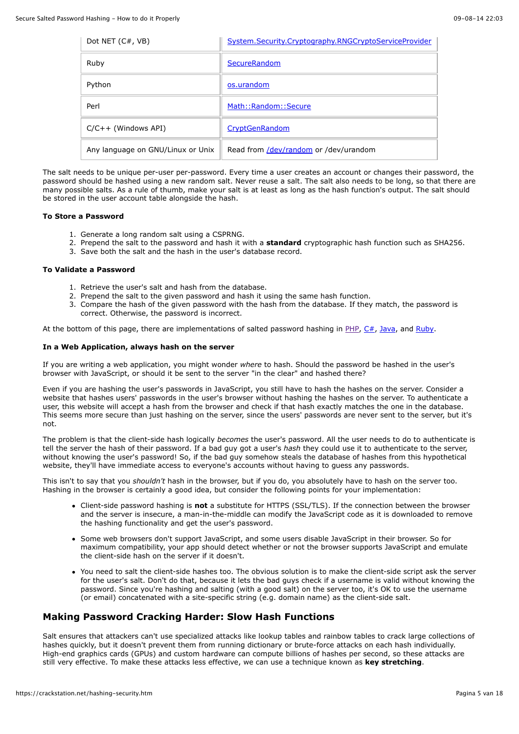| Dot NET $(C#$ , VB)               | System.Security.Cryptography.RNGCryptoServiceProvider |
|-----------------------------------|-------------------------------------------------------|
| Ruby                              | SecureRandom                                          |
| Python                            | os.urandom                                            |
| Perl                              | Math::Random::Secure                                  |
| $C/C++$ (Windows API)             | CryptGenRandom                                        |
| Any language on GNU/Linux or Unix | Read from /dev/random or /dev/urandom                 |

The salt needs to be unique per-user per-password. Every time a user creates an account or changes their password, the password should be hashed using a new random salt. Never reuse a salt. The salt also needs to be long, so that there are many possible salts. As a rule of thumb, make your salt is at least as long as the hash function's output. The salt should be stored in the user account table alongside the hash.

#### **To Store a Password**

- 1. Generate a long random salt using a CSPRNG.
- 2. Prepend the salt to the password and hash it with a **standard** cryptographic hash function such as SHA256.
- 3. Save both the salt and the hash in the user's database record.

#### **To Validate a Password**

- 1. Retrieve the user's salt and hash from the database.
- 2. Prepend the salt to the given password and hash it using the same hash function.
- 3. Compare the hash of the given password with the hash from the database. If they match, the password is correct. Otherwise, the password is incorrect.

At the bottom of this page, there are implementations of salted password hashing in  $\underline{PHP}, \underline{C#,}$  $\underline{PHP}, \underline{C#,}$  $\underline{PHP}, \underline{C#,}$ , [Java,](https://crackstation.net/hashing-security.htm#javasourcecode) and [Ruby.](https://crackstation.net/hashing-security.htm#rubysourcecode)

#### **In a Web Application, always hash on the server**

If you are writing a web application, you might wonder *where* to hash. Should the password be hashed in the user's browser with JavaScript, or should it be sent to the server "in the clear" and hashed there?

Even if you are hashing the user's passwords in JavaScript, you still have to hash the hashes on the server. Consider a website that hashes users' passwords in the user's browser without hashing the hashes on the server. To authenticate a user, this website will accept a hash from the browser and check if that hash exactly matches the one in the database. This seems more secure than just hashing on the server, since the users' passwords are never sent to the server, but it's not.

The problem is that the client-side hash logically *becomes* the user's password. All the user needs to do to authenticate is tell the server the hash of their password. If a bad guy got a user's *hash* they could use it to authenticate to the server, without knowing the user's password! So, if the bad guy somehow steals the database of hashes from this hypothetical website, they'll have immediate access to everyone's accounts without having to guess any passwords.

This isn't to say that you *shouldn't* hash in the browser, but if you do, you absolutely have to hash on the server too. Hashing in the browser is certainly a good idea, but consider the following points for your implementation:

- Client-side password hashing is **not** a substitute for HTTPS (SSL/TLS). If the connection between the browser and the server is insecure, a man-in-the-middle can modify the JavaScript code as it is downloaded to remove the hashing functionality and get the user's password.
- Some web browsers don't support JavaScript, and some users disable JavaScript in their browser. So for maximum compatibility, your app should detect whether or not the browser supports JavaScript and emulate the client-side hash on the server if it doesn't.
- You need to salt the client-side hashes too. The obvious solution is to make the client-side script ask the server for the user's salt. Don't do that, because it lets the bad guys check if a username is valid without knowing the password. Since you're hashing and salting (with a good salt) on the server too, it's OK to use the username (or email) concatenated with a site-specific string (e.g. domain name) as the client-side salt.

# **Making Password Cracking Harder: Slow Hash Functions**

Salt ensures that attackers can't use specialized attacks like lookup tables and rainbow tables to crack large collections of hashes quickly, but it doesn't prevent them from running dictionary or brute-force attacks on each hash individually. High-end graphics cards (GPUs) and custom hardware can compute billions of hashes per second, so these attacks are still very effective. To make these attacks less effective, we can use a technique known as **key stretching**.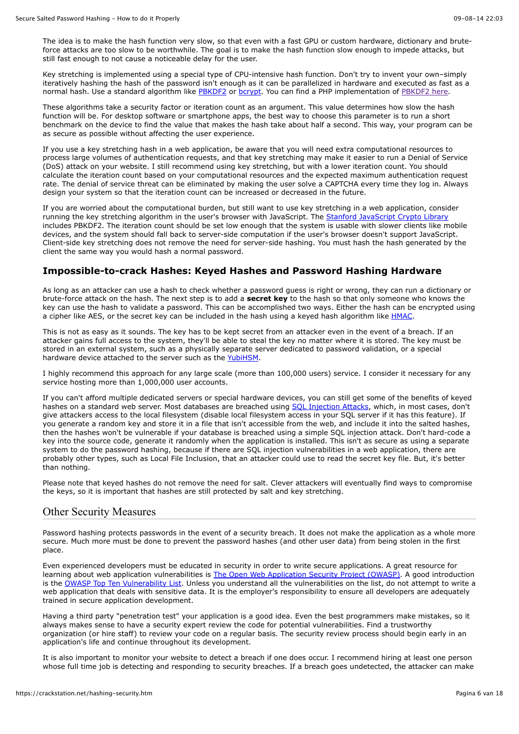The idea is to make the hash function very slow, so that even with a fast GPU or custom hardware, dictionary and bruteforce attacks are too slow to be worthwhile. The goal is to make the hash function slow enough to impede attacks, but still fast enough to not cause a noticeable delay for the user.

Key stretching is implemented using a special type of CPU-intensive hash function. Don't try to invent your own–simply iteratively hashing the hash of the password isn't enough as it can be parallelized in hardware and executed as fast as a normal hash. Use a standard algorithm like [PBKDF2](http://en.wikipedia.org/wiki/PBKDF2) or [bcrypt.](http://en.wikipedia.org/wiki/Bcrypt) You can find a PHP implementation of [PBKDF2 here.](https://defuse.ca/php-pbkdf2.htm)

These algorithms take a security factor or iteration count as an argument. This value determines how slow the hash function will be. For desktop software or smartphone apps, the best way to choose this parameter is to run a short benchmark on the device to find the value that makes the hash take about half a second. This way, your program can be as secure as possible without affecting the user experience.

If you use a key stretching hash in a web application, be aware that you will need extra computational resources to process large volumes of authentication requests, and that key stretching may make it easier to run a Denial of Service (DoS) attack on your website. I still recommend using key stretching, but with a lower iteration count. You should calculate the iteration count based on your computational resources and the expected maximum authentication request rate. The denial of service threat can be eliminated by making the user solve a CAPTCHA every time they log in. Always design your system so that the iteration count can be increased or decreased in the future.

If you are worried about the computational burden, but still want to use key stretching in a web application, consider running the key stretching algorithm in the user's browser with JavaScript. The [Stanford JavaScript Crypto Library](http://crypto.stanford.edu/sjcl/) includes PBKDF2. The iteration count should be set low enough that the system is usable with slower clients like mobile devices, and the system should fall back to server-side computation if the user's browser doesn't support JavaScript. Client-side key stretching does not remove the need for server-side hashing. You must hash the hash generated by the client the same way you would hash a normal password.

# **Impossible-to-crack Hashes: Keyed Hashes and Password Hashing Hardware**

As long as an attacker can use a hash to check whether a password guess is right or wrong, they can run a dictionary or brute-force attack on the hash. The next step is to add a **secret key** to the hash so that only someone who knows the key can use the hash to validate a password. This can be accomplished two ways. Either the hash can be encrypted using a cipher like AES, or the secret key can be included in the hash using a keyed hash algorithm like [HMAC.](http://en.wikipedia.org/wiki/HMAC)

This is not as easy as it sounds. The key has to be kept secret from an attacker even in the event of a breach. If an attacker gains full access to the system, they'll be able to steal the key no matter where it is stored. The key must be stored in an external system, such as a physically separate server dedicated to password validation, or a special hardware device attached to the server such as the [YubiHSM.](https://www.yubico.com/YubiHSM)

I highly recommend this approach for any large scale (more than 100,000 users) service. I consider it necessary for any service hosting more than 1,000,000 user accounts.

If you can't afford multiple dedicated servers or special hardware devices, you can still get some of the benefits of keyed hashes on a standard web server. Most databases are breached using [SQL Injection Attacks,](http://en.wikipedia.org/wiki/SQL_injection) which, in most cases, don't give attackers access to the local filesystem (disable local filesystem access in your SQL server if it has this feature). If you generate a random key and store it in a file that isn't accessible from the web, and include it into the salted hashes, then the hashes won't be vulnerable if your database is breached using a simple SQL injection attack. Don't hard-code a key into the source code, generate it randomly when the application is installed. This isn't as secure as using a separate system to do the password hashing, because if there are SQL injection vulnerabilities in a web application, there are probably other types, such as Local File Inclusion, that an attacker could use to read the secret key file. But, it's better than nothing.

Please note that keyed hashes do not remove the need for salt. Clever attackers will eventually find ways to compromise the keys, so it is important that hashes are still protected by salt and key stretching.

# Other Security Measures

Password hashing protects passwords in the event of a security breach. It does not make the application as a whole more secure. Much more must be done to prevent the password hashes (and other user data) from being stolen in the first place.

Even experienced developers must be educated in security in order to write secure applications. A great resource for learning about web application vulnerabilities is [The Open Web Application Security Project \(OWASP\)](https://www.owasp.org/index.php/Main_Page). A good introduction is the [OWASP Top Ten Vulnerability List.](http://owasptop10.googlecode.com/files/OWASP%20Top%2010%20-%202013.pdf) Unless you understand all the vulnerabilities on the list, do not attempt to write a web application that deals with sensitive data. It is the employer's responsibility to ensure all developers are adequately trained in secure application development.

Having a third party "penetration test" your application is a good idea. Even the best programmers make mistakes, so it always makes sense to have a security expert review the code for potential vulnerabilities. Find a trustworthy organization (or hire staff) to review your code on a regular basis. The security review process should begin early in an application's life and continue throughout its development.

It is also important to monitor your website to detect a breach if one does occur. I recommend hiring at least one person whose full time job is detecting and responding to security breaches. If a breach goes undetected, the attacker can make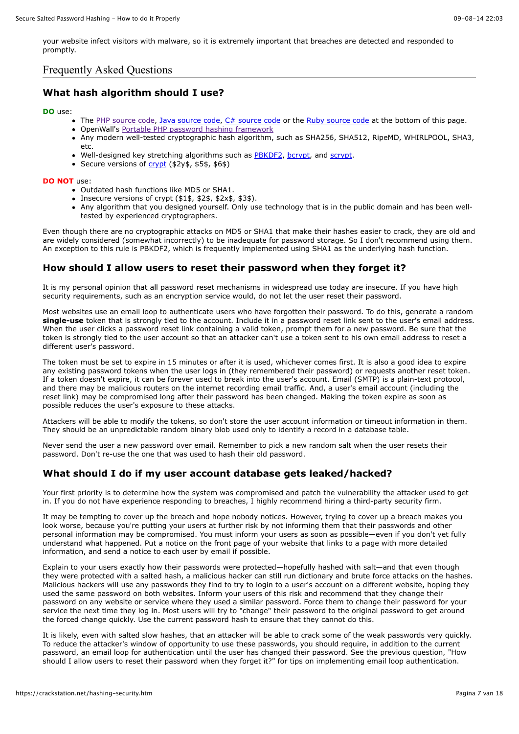your website infect visitors with malware, so it is extremely important that breaches are detected and responded to promptly.

# Frequently Asked Questions

# **What hash algorithm should I use?**

#### **DO** use:

- The [PHP source code,](https://crackstation.net/hashing-security.htm#phpsourcecode) [Java source code,](https://crackstation.net/hashing-security.htm#javasourcecode) [C# source code](https://crackstation.net/hashing-security.htm#aspsourcecode) or the [Ruby source code](https://crackstation.net/hashing-security.htm#aspsourcecode) at the bottom of this page.
- OpenWall's [Portable PHP password hashing framework](http://www.openwall.com/phpass/)
- Any modern well-tested cryptographic hash algorithm, such as SHA256, SHA512, RipeMD, WHIRLPOOL, SHA3, etc.
- Well-designed key stretching algorithms such as [PBKDF2,](http://en.wikipedia.org/wiki/PBKDF2) [bcrypt](http://en.wikipedia.org/wiki/Bcrypt), and [scrypt.](http://www.tarsnap.com/scrypt.html)
- Secure versions of [crypt](http://en.wikipedia.org/wiki/Crypt_(Unix)#Library_Function_crypt.283.29) (\$2y\$, \$5\$, \$6\$)

#### **DO NOT** use:

- Outdated hash functions like MD5 or SHA1.
- $\bullet$  Insecure versions of crypt (\$1\$, \$2\$, \$2x\$, \$3\$).
- Any algorithm that you designed yourself. Only use technology that is in the public domain and has been welltested by experienced cryptographers.

Even though there are no cryptographic attacks on MD5 or SHA1 that make their hashes easier to crack, they are old and are widely considered (somewhat incorrectly) to be inadequate for password storage. So I don't recommend using them. An exception to this rule is PBKDF2, which is frequently implemented using SHA1 as the underlying hash function.

# **How should I allow users to reset their password when they forget it?**

It is my personal opinion that all password reset mechanisms in widespread use today are insecure. If you have high security requirements, such as an encryption service would, do not let the user reset their password.

Most websites use an email loop to authenticate users who have forgotten their password. To do this, generate a random **single-use** token that is strongly tied to the account. Include it in a password reset link sent to the user's email address. When the user clicks a password reset link containing a valid token, prompt them for a new password. Be sure that the token is strongly tied to the user account so that an attacker can't use a token sent to his own email address to reset a different user's password.

The token must be set to expire in 15 minutes or after it is used, whichever comes first. It is also a good idea to expire any existing password tokens when the user logs in (they remembered their password) or requests another reset token. If a token doesn't expire, it can be forever used to break into the user's account. Email (SMTP) is a plain-text protocol, and there may be malicious routers on the internet recording email traffic. And, a user's email account (including the reset link) may be compromised long after their password has been changed. Making the token expire as soon as possible reduces the user's exposure to these attacks.

Attackers will be able to modify the tokens, so don't store the user account information or timeout information in them. They should be an unpredictable random binary blob used only to identify a record in a database table.

Never send the user a new password over email. Remember to pick a new random salt when the user resets their password. Don't re-use the one that was used to hash their old password.

# **What should I do if my user account database gets leaked/hacked?**

Your first priority is to determine how the system was compromised and patch the vulnerability the attacker used to get in. If you do not have experience responding to breaches, I highly recommend hiring a third-party security firm.

It may be tempting to cover up the breach and hope nobody notices. However, trying to cover up a breach makes you look worse, because you're putting your users at further risk by not informing them that their passwords and other personal information may be compromised. You must inform your users as soon as possible—even if you don't yet fully understand what happened. Put a notice on the front page of your website that links to a page with more detailed information, and send a notice to each user by email if possible.

Explain to your users exactly how their passwords were protected—hopefully hashed with salt—and that even though they were protected with a salted hash, a malicious hacker can still run dictionary and brute force attacks on the hashes. Malicious hackers will use any passwords they find to try to login to a user's account on a different website, hoping they used the same password on both websites. Inform your users of this risk and recommend that they change their password on any website or service where they used a similar password. Force them to change their password for your service the next time they log in. Most users will try to "change" their password to the original password to get around the forced change quickly. Use the current password hash to ensure that they cannot do this.

It is likely, even with salted slow hashes, that an attacker will be able to crack some of the weak passwords very quickly. To reduce the attacker's window of opportunity to use these passwords, you should require, in addition to the current password, an email loop for authentication until the user has changed their password. See the previous question, "How should I allow users to reset their password when they forget it?" for tips on implementing email loop authentication.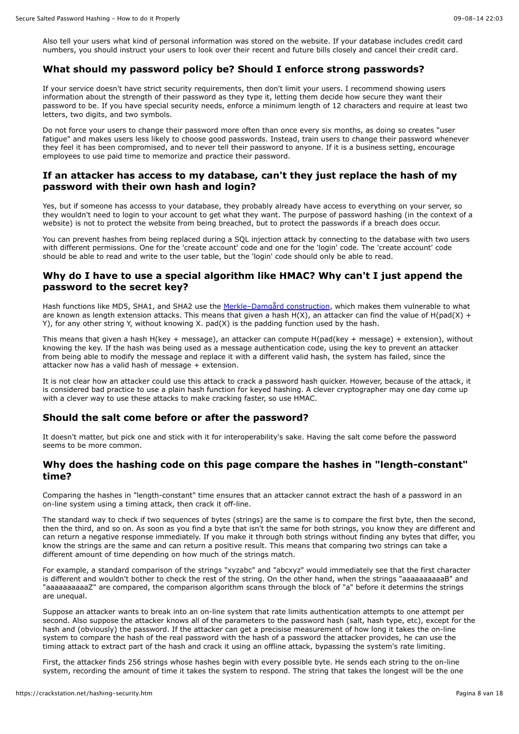Also tell your users what kind of personal information was stored on the website. If your database includes credit card numbers, you should instruct your users to look over their recent and future bills closely and cancel their credit card.

#### **What should my password policy be? Should I enforce strong passwords?**

If your service doesn't have strict security requirements, then don't limit your users. I recommend showing users information about the strength of their password as they type it, letting them decide how secure they want their password to be. If you have special security needs, enforce a minimum length of 12 characters and require at least two letters, two digits, and two symbols.

Do not force your users to change their password more often than once every six months, as doing so creates "user fatigue" and makes users less likely to choose good passwords. Instead, train users to change their password whenever they feel it has been compromised, and to never tell their password to anyone. If it is a business setting, encourage employees to use paid time to memorize and practice their password.

#### **If an attacker has access to my database, can't they just replace the hash of my password with their own hash and login?**

Yes, but if someone has accesss to your database, they probably already have access to everything on your server, so they wouldn't need to login to your account to get what they want. The purpose of password hashing (in the context of a website) is not to protect the website from being breached, but to protect the passwords if a breach does occur.

You can prevent hashes from being replaced during a SQL injection attack by connecting to the database with two users with different permissions. One for the 'create account' code and one for the 'login' code. The 'create account' code should be able to read and write to the user table, but the 'login' code should only be able to read.

# **Why do I have to use a special algorithm like HMAC? Why can't I just append the password to the secret key?**

Hash functions like MD5, SHA1, and SHA2 use the Merkle-Damgård construction, which makes them vulnerable to what are known as length extension attacks. This means that given a hash  $H(X)$ , an attacker can find the value of  $H(pad(X) + pA)$ Y), for any other string Y, without knowing X. pad(X) is the padding function used by the hash.

This means that given a hash H(key + message), an attacker can compute H(pad(key + message) + extension), without knowing the key. If the hash was being used as a message authentication code, using the key to prevent an attacker from being able to modify the message and replace it with a different valid hash, the system has failed, since the attacker now has a valid hash of message + extension.

It is not clear how an attacker could use this attack to crack a password hash quicker. However, because of the attack, it is considered bad practice to use a plain hash function for keyed hashing. A clever cryptographer may one day come up with a clever way to use these attacks to make cracking faster, so use HMAC.

#### **Should the salt come before or after the password?**

It doesn't matter, but pick one and stick with it for interoperability's sake. Having the salt come before the password seems to be more common.

#### **Why does the hashing code on this page compare the hashes in "length-constant" time?**

Comparing the hashes in "length-constant" time ensures that an attacker cannot extract the hash of a password in an on-line system using a timing attack, then crack it off-line.

The standard way to check if two sequences of bytes (strings) are the same is to compare the first byte, then the second, then the third, and so on. As soon as you find a byte that isn't the same for both strings, you know they are different and can return a negative response immediately. If you make it through both strings without finding any bytes that differ, you know the strings are the same and can return a positive result. This means that comparing two strings can take a different amount of time depending on how much of the strings match.

For example, a standard comparison of the strings "xyzabc" and "abcxyz" would immediately see that the first character is different and wouldn't bother to check the rest of the string. On the other hand, when the strings "aaaaaaaaaaB" and "aaaaaaaaaaZ" are compared, the comparison algorithm scans through the block of "a" before it determins the strings are unequal.

Suppose an attacker wants to break into an on-line system that rate limits authentication attempts to one attempt per second. Also suppose the attacker knows all of the parameters to the password hash (salt, hash type, etc), except for the hash and (obviously) the password. If the attacker can get a precisise measurement of how long it takes the on-line system to compare the hash of the real password with the hash of a password the attacker provides, he can use the timing attack to extract part of the hash and crack it using an offline attack, bypassing the system's rate limiting.

First, the attacker finds 256 strings whose hashes begin with every possible byte. He sends each string to the on-line system, recording the amount of time it takes the system to respond. The string that takes the longest will be the one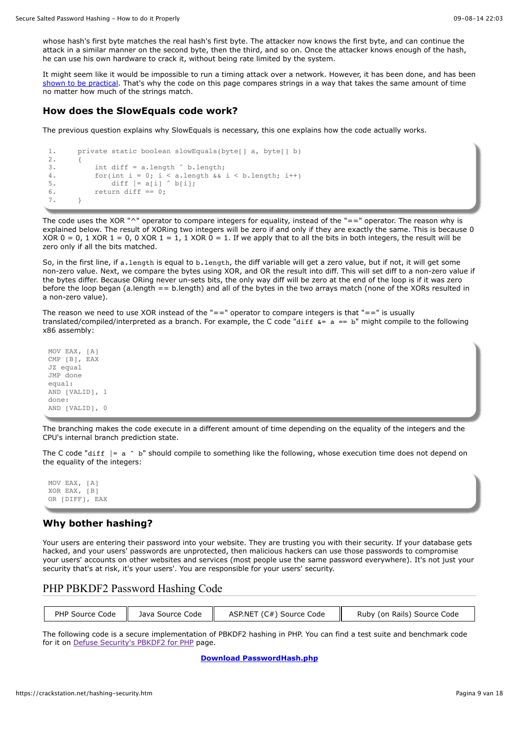whose hash's first byte matches the real hash's first byte. The attacker now knows the first byte, and can continue the attack in a similar manner on the second byte, then the third, and so on. Once the attacker knows enough of the hash, he can use his own hardware to crack it, without being rate limited by the system.

It might seem like it would be impossible to run a timing attack over a network. However, it has been done, and has been [shown to be practical.](https://crypto.stanford.edu/~dabo/papers/ssl-timing.pdf) That's why the code on this page compares strings in a way that takes the same amount of time no matter how much of the strings match.

#### **How does the SlowEquals code work?**

The previous question explains why SlowEquals is necessary, this one explains how the code actually works.

```
1. private static boolean slowEquals(byte[] a, byte[] b)
2. {
3. int diff = a.length ^ b.length;
4. for(int i = 0; i < a.length \& i < b.length; i++)
5. diff = a[i] \land b[i];6. return diff == 0;7. }
```
The code uses the XOR "^" operator to compare integers for equality, instead of the "==" operator. The reason why is explained below. The result of XORing two integers will be zero if and only if they are exactly the same. This is because 0 XOR  $0 = 0$ , 1 XOR  $1 = 0$ , 0 XOR  $1 = 1$ , 1 XOR  $0 = 1$ . If we apply that to all the bits in both integers, the result will be zero only if all the bits matched.

So, in the first line, if a. length is equal to b. length, the diff variable will get a zero value, but if not, it will get some non-zero value. Next, we compare the bytes using XOR, and OR the result into diff. This will set diff to a non-zero value if the bytes differ. Because ORing never un-sets bits, the only way diff will be zero at the end of the loop is if it was zero before the loop began (a.length == b.length) and all of the bytes in the two arrays match (none of the XORs resulted in a non-zero value).

The reason we need to use XOR instead of the  $"=="$  operator to compare integers is that  $"=="$  is usually translated/compiled/interpreted as a branch. For example, the C code "diff  $\kappa$ = a == b" might compile to the following x86 assembly:

MOV EAX, [A] CMP [B], EAX JZ equal JMP done equal: AND [VALID], 1 done: AND [VALID], 0

The branching makes the code execute in a different amount of time depending on the equality of the integers and the CPU's internal branch prediction state.

The C code "diff  $|a \wedge b$ " should compile to something like the following, whose execution time does not depend on the equality of the integers:

MOV EAX, [A] XOR EAX, [B] OR [DIFF], EAX

# **Why bother hashing?**

Your users are entering their password into your website. They are trusting you with their security. If your database gets hacked, and your users' passwords are unprotected, then malicious hackers can use those passwords to compromise your users' accounts on other websites and services (most people use the same password everywhere). It's not just your security that's at risk, it's your users'. You are responsible for your users' security.

# PHP PBKDF2 Password Hashing Code

| PHP Source Code  | ASP.NET (C#) Source Code    |
|------------------|-----------------------------|
| Java Source Code | Ruby (on Rails) Source Code |

The following code is a secure implementation of PBKDF2 hashing in PHP. You can find a test suite and benchmark code for it on [Defuse Security's PBKDF2 for PHP](https://defuse.ca/php-pbkdf2.htm) page.

**[Download PasswordHash.php](https://crackstation.net/source/password-hashing/PasswordHash.php)**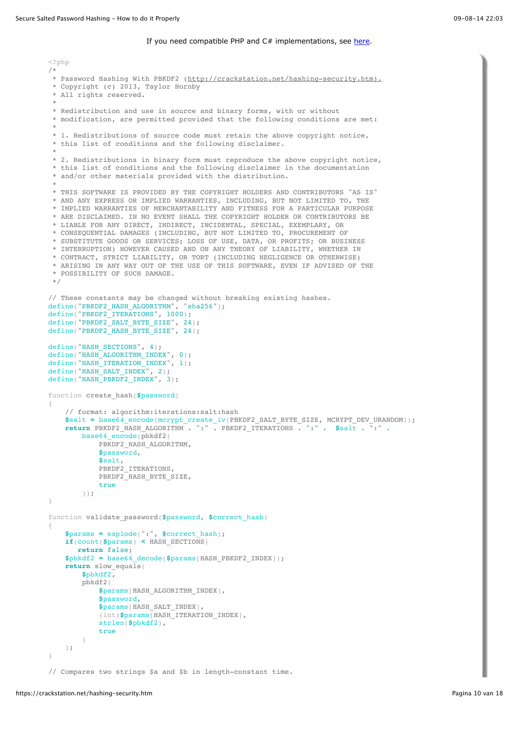#### If you need compatible PHP and  $C#$  implementations, see [here](https://github.com/defuse/password-hashing/tree/master/compatible).

```
<?php
/*
 * Password Hashing With PBKDF2 (http://crackstation.net/hashing-security.htm).
  * Copyright (c) 2013, Taylor Hornby
  * All rights reserved.
 *
  * Redistribution and use in source and binary forms, with or without 
  * modification, are permitted provided that the following conditions are met:
 *
  * 1. Redistributions of source code must retain the above copyright notice, 
  * this list of conditions and the following disclaimer.
 *
  * 2. Redistributions in binary form must reproduce the above copyright notice,
  * this list of conditions and the following disclaimer in the documentation 
  * and/or other materials provided with the distribution.
 *
  * THIS SOFTWARE IS PROVIDED BY THE COPYRIGHT HOLDERS AND CONTRIBUTORS "AS IS" 
  * AND ANY EXPRESS OR IMPLIED WARRANTIES, INCLUDING, BUT NOT LIMITED TO, THE 
  * IMPLIED WARRANTIES OF MERCHANTABILITY AND FITNESS FOR A PARTICULAR PURPOSE 
  * ARE DISCLAIMED. IN NO EVENT SHALL THE COPYRIGHT HOLDER OR CONTRIBUTORS BE 
  * LIABLE FOR ANY DIRECT, INDIRECT, INCIDENTAL, SPECIAL, EXEMPLARY, OR 
  * CONSEQUENTIAL DAMAGES (INCLUDING, BUT NOT LIMITED TO, PROCUREMENT OF 
  * SUBSTITUTE GOODS OR SERVICES; LOSS OF USE, DATA, OR PROFITS; OR BUSINESS 
  * INTERRUPTION) HOWEVER CAUSED AND ON ANY THEORY OF LIABILITY, WHETHER IN 
  * CONTRACT, STRICT LIABILITY, OR TORT (INCLUDING NEGLIGENCE OR OTHERWISE) 
  * ARISING IN ANY WAY OUT OF THE USE OF THIS SOFTWARE, EVEN IF ADVISED OF THE 
  * POSSIBILITY OF SUCH DAMAGE.
  */
// These constants may be changed without breaking existing hashes.
define("PBKDF2_HASH_ALGORITHM", "sha256");
define("PBKDF2_ITERATIONS", 1000);
define("PBKDF2_SALT_BYTE_SIZE", 24);
define("PBKDF2_HASH_BYTE_SIZE", 24);
define("HASH_SECTIONS", 4);
define("HASH_ALGORITHM_INDEX", 0);
define("HASH_ITERATION_INDEX", 1);
define("HASH_SALT_INDEX", 2);
define("HASH_PBKDF2_INDEX", 3);
function create_hash($password)
{
     // format: algorithm:iterations:salt:hash
     $salt = base64_encode(mcrypt_create_iv(PBKDF2_SALT_BYTE_SIZE, MCRYPT_DEV_URANDOM));
     return PBKDF2_HASH_ALGORITHM . ":" . PBKDF2_ITERATIONS . ":" . $salt . ":" .
        base64_encode(pbkdf2(
            PBKDF2_HASH_ALGORITHM,
             $password,
             $salt,
            PBKDF2_ITERATIONS,
            PBKDF2_HASH_BYTE_SIZE,
             true
         ));
}
function validate_password($password, $correct_hash)
{
     $params = explode(":", $correct_hash);
     if(count($params) < HASH_SECTIONS)
        return false;
     $pbkdf2 = base64_decode($params[HASH_PBKDF2_INDEX]);
     return slow_equals(
         $pbkdf2,
         pbkdf2(
             $params[HASH_ALGORITHM_INDEX],
             $password,
             $params[HASH_SALT_INDEX],
             (int)$params[HASH_ITERATION_INDEX],
             strlen($pbkdf2),
             true
         )
     );
}
// Compares two strings $a and $b in length-constant time.
```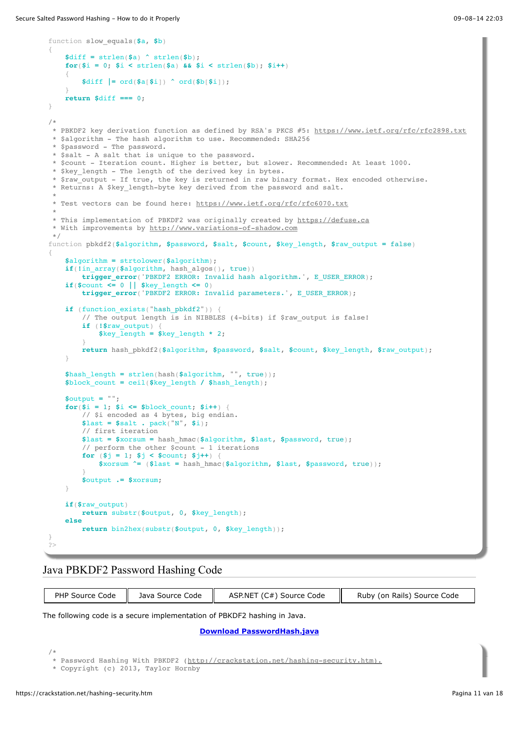```
function slow_equals($a, $b)
{
     $diff = strlen($a) ^ strlen($b);
    for(\$i = 0; \$i < strlen(\$a) \$a\$i < strlen(\$b)); \$i++)\{ $diff |= ord($a[$i]) ^ ord($b[$i]);
 }
     return $diff === 0;
}
/*
 * PBKDF2 key derivation function as defined by RSA's PKCS #5: https://www.ietf.org/rfc/rfc2898.txt
 * $algorithm - The hash algorithm to use. Recommended: SHA256
  * $password - The password.
  * $salt - A salt that is unique to the password.
 * $count - Iteration count. Higher is better, but slower. Recommended: At least 1000.
 * $key length - The length of the derived key in bytes.
  * $raw_output - If true, the key is returned in raw binary format. Hex encoded otherwise.
  * Returns: A $key_length-byte key derived from the password and salt.
 *
  * Test vectors can be found here: https://www.ietf.org/rfc/rfc6070.txt
 *
 * This implementation of PBKDF2 was originally created by https://defuse.ca
 * With improvements by http://www.variations-of-shadow.com
 */
function pbkdf2($algorithm, $password, $salt, $count, $key_length, $raw_output = false)
{
     $algorithm = strtolower($algorithm);
     if(!in_array($algorithm, hash_algos(), true))
         trigger_error('PBKDF2 ERROR: Invalid hash algorithm.', E_USER_ERROR);
     if($count <= 0 || $key_length <= 0)
         trigger_error('PBKDF2 ERROR: Invalid parameters.', E_USER_ERROR);
    if (function_exists("hash_pbkdf2")) \
        // The output length is in NIBBLES (4-bits) if $raw output is false!
         if (!$raw_output) {
            \frac{1}{2}$key length * 2;
 }
         return hash_pbkdf2($algorithm, $password, $salt, $count, $key_length, $raw_output);
     }
     $hash_length = strlen(hash($algorithm, "", true));
     $block_count = ceil($key_length / $hash_length);
     $output = "";
    for(\hat{\mathbf{s}}i = 1; \hat{\mathbf{s}}i <= \hat{\mathbf{s}}block_count; \hat{\mathbf{s}}i++)
         // $i encoded as 4 bytes, big endian.
         $last = $salt . pack("N", $i);
         // first iteration
         $last = $xorsum = hash_hmac($algorithm, $last, $password, true);
         // perform the other $count - 1 iterations
        for ($j = 1; $j < $count; $j++) {
             $xorsum ^= ($last = hash_hmac($algorithm, $last, $password, true));
 }
         $output .= $xorsum;
     }
     if($raw_output)
         return substr($output, 0, $key_length);
     else
         return bin2hex(substr($output, 0, $key_length));
}
\sim
```
# Java PBKDF2 Password Hashing Code

| PHP Source Code   Java Source Code | ASP.NET (C#) Source Code | Ruby (on Rails) Source Code |
|------------------------------------|--------------------------|-----------------------------|
|                                    |                          |                             |

The following code is a secure implementation of PBKDF2 hashing in Java.

**[Download PasswordHash.java](https://crackstation.net/source/password-hashing/PasswordHash.java)**

/\*

\* Password Hashing With PBKDF2 [\(http://crackstation.net/hashing-security.htm\).](http://crackstation.net/hashing-security.htm).)

 <sup>\*</sup> Copyright (c) 2013, Taylor Hornby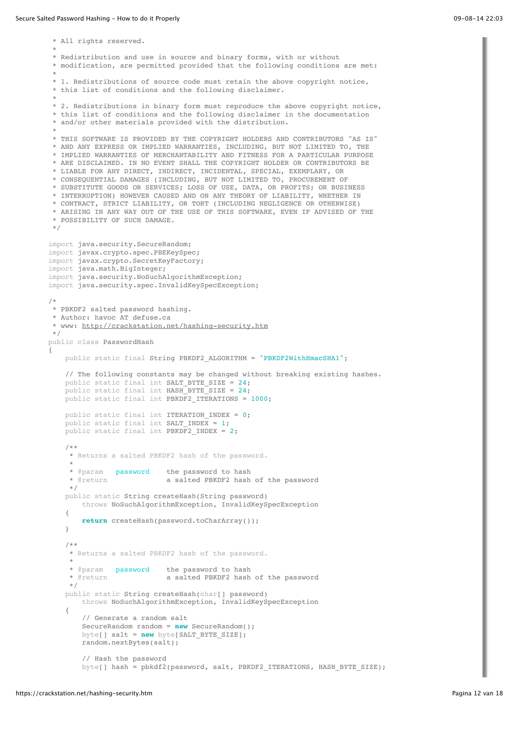\* All rights reserved. \* \* Redistribution and use in source and binary forms, with or without \* modification, are permitted provided that the following conditions are met: \* \* 1. Redistributions of source code must retain the above copyright notice, \* this list of conditions and the following disclaimer. \* \* 2. Redistributions in binary form must reproduce the above copyright notice, \* this list of conditions and the following disclaimer in the documentation \* and/or other materials provided with the distribution. \* \* THIS SOFTWARE IS PROVIDED BY THE COPYRIGHT HOLDERS AND CONTRIBUTORS "AS IS" \* AND ANY EXPRESS OR IMPLIED WARRANTIES, INCLUDING, BUT NOT LIMITED TO, THE \* IMPLIED WARRANTIES OF MERCHANTABILITY AND FITNESS FOR A PARTICULAR PURPOSE \* ARE DISCLAIMED. IN NO EVENT SHALL THE COPYRIGHT HOLDER OR CONTRIBUTORS BE \* LIABLE FOR ANY DIRECT, INDIRECT, INCIDENTAL, SPECIAL, EXEMPLARY, OR \* CONSEQUENTIAL DAMAGES (INCLUDING, BUT NOT LIMITED TO, PROCUREMENT OF \* SUBSTITUTE GOODS OR SERVICES; LOSS OF USE, DATA, OR PROFITS; OR BUSINESS \* INTERRUPTION) HOWEVER CAUSED AND ON ANY THEORY OF LIABILITY, WHETHER IN \* CONTRACT, STRICT LIABILITY, OR TORT (INCLUDING NEGLIGENCE OR OTHERWISE) \* ARISING IN ANY WAY OUT OF THE USE OF THIS SOFTWARE, EVEN IF ADVISED OF THE \* POSSIBILITY OF SUCH DAMAGE. \*/ import java.security.SecureRandom; import javax.crypto.spec.PBEKeySpec; import javax.crypto.SecretKeyFactory; import java.math.BigInteger; import java.security.NoSuchAlgorithmException; import java.security.spec.InvalidKeySpecException; /\* \* PBKDF2 salted password hashing. \* Author: havoc AT defuse.ca \* www:<http://crackstation.net/hashing-security.htm> \*/ public class PasswordHash { public static final String PBKDF2\_ALGORITHM = "PBKDF2WithHmacSHA1"; // The following constants may be changed without breaking existing hashes. public static final int SALT\_BYTE\_SIZE = 24; public static final int HASH\_BYTE\_SIZE = 24; public static final int PBKDF2 ITERATIONS = 1000; public static final int ITERATION\_INDEX = 0; public static final int SALT INDEX = 1; public static final int PBKDF2 INDEX =  $2$ ; /\*\* \* Returns a salted PBKDF2 hash of the password. \* \* @param password the password to hash a salted PBKDF2 hash of the password \*/ public static String createHash(String password) throws NoSuchAlgorithmException, InvalidKeySpecException { **return** createHash(password.toCharArray()); } /\*\* \* Returns a salted PBKDF2 hash of the password. \* \* @param password the password to hash a salted PBKDF2 hash of the password \*/ public static String createHash(char[] password) throws NoSuchAlgorithmException, InvalidKeySpecException { // Generate a random salt SecureRandom random = **new** SecureRandom(); byte[] salt = **new** byte[SALT\_BYTE\_SIZE]; random.nextBytes(salt); // Hash the password byte[] hash = pbkdf2(password, salt, PBKDF2\_ITERATIONS, HASH\_BYTE\_SIZE);

۰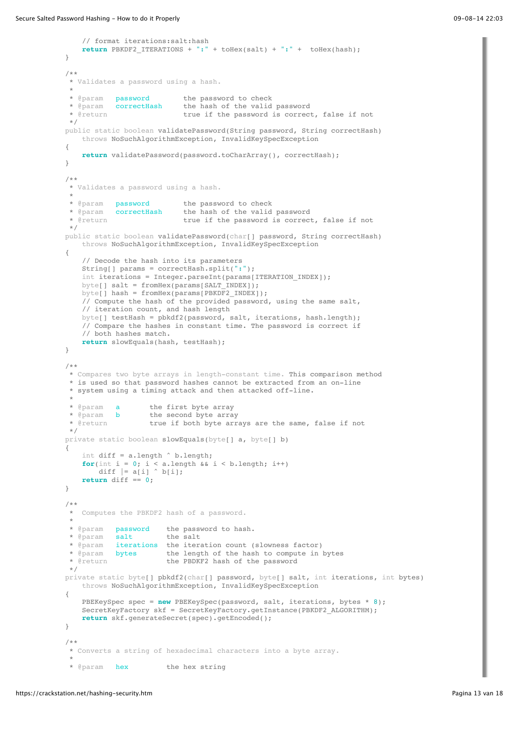```
 // format iterations:salt:hash
         return PBKDF2_ITERATIONS + ":" + toHex(salt) + ":" + toHex(hash);
    }
     /**
     * Validates a password using a hash.
 *
    * @param password the password to check<br>* @param correctHash the hash of the valid
     * @param correctHash the hash of the valid password
                                true if the password is correct, false if not
     */
    public static boolean validatePassword(String password, String correctHash)
        throws NoSuchAlgorithmException, InvalidKeySpecException
     {
         return validatePassword(password.toCharArray(), correctHash);
    }
    /**
     * Validates a password using a hash.
 *
      * @param password the password to check
 * @param correctHash the hash of the valid password
 * @return true if the password is correct, false if not
     */
   public static boolean validatePassword(char[] password, String correctHash)
         throws NoSuchAlgorithmException, InvalidKeySpecException
     {
         // Decode the hash into its parameters
         String[] params = correctHash.split(":");
         int iterations = Integer.parseInt(params[ITERATION_INDEX]);
         byte[] salt = fromHex(params[SALT_INDEX]);
         byte[] hash = fromHex(params[PBKDF2_INDEX]);
        \overline{1/7} Compute the hash of the provided password, using the same salt,
         // iteration count, and hash length
         byte[] testHash = pbkdf2(password, salt, iterations, hash.length);
         // Compare the hashes in constant time. The password is correct if
         // both hashes match.
         return slowEquals(hash, testHash);
    }
    /**
      * Compares two byte arrays in length-constant time. This comparison method
     * is used so that password hashes cannot be extracted from an on-line 
      * system using a timing attack and then attacked off-line.
    * @param a<br>* @param b
                        the first byte array
     * @param b the second byte array<br>* @return true if both byte arr
                       true if both byte arrays are the same, false if not
     */
    private static boolean slowEquals(byte[] a, byte[] b)
     {
         int diff = a.length ^ b.length;
        for(int i = 0; i < a.length &i < b.length; i++)diff | = a[i] \uparrow b[i]; return diff == 0;
    }
     /**
     * Computes the PBKDF2 hash of a password.
 *
     * @param password the password to hash.
      * @param salt the salt
      * @param iterations the iteration count (slowness factor)
     * @param bytes the length of the hash to compute in bytes<br>* @return the PBDKF2 hash of the password
                            the PBDKF2 hash of the password
     */
   private static byte[] pbkdf2(char[] password, byte[] salt, int iterations, int bytes)
         throws NoSuchAlgorithmException, InvalidKeySpecException
     {
         PBEKeySpec spec = new PBEKeySpec(password, salt, iterations, bytes * 8);
         SecretKeyFactory skf = SecretKeyFactory.getInstance(PBKDF2_ALGORITHM);
         return skf.generateSecret(spec).getEncoded();
    }
     /**
      * Converts a string of hexadecimal characters into a byte array.
 *
     * @param hex the hex string
```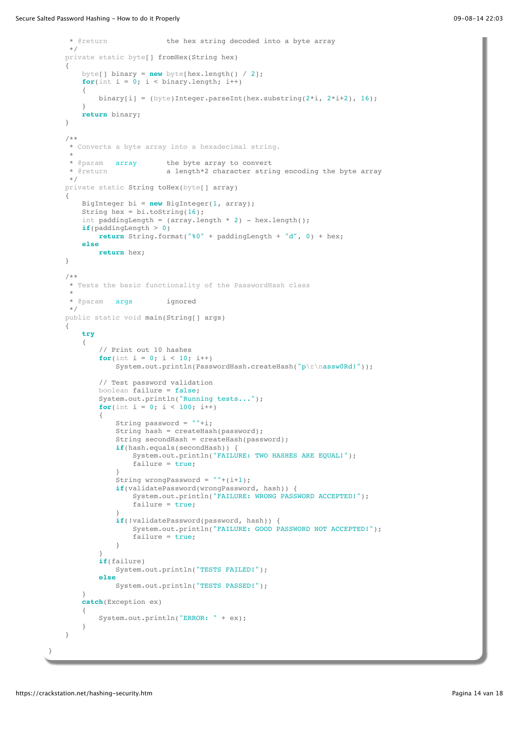```
 * @return the hex string decoded into a byte array
     */
    private static byte[] fromHex(String hex)
    {
        byte[] binary = new byte[hex.length() / 2];
       for(int i = 0; i < binary.length; i++)
        {
           binary[i] = (byte)Integer.parseInt(hex.substring(2*i, 2*i+2), 16);
 }
        return binary;
    }
    /**
     * Converts a byte array into a hexadecimal string.
 *
     * @param array the byte array to convert
                           a length*2 character string encoding the byte array
     */
   private static String toHex(byte[] array)
    {
        BigInteger bi = new BigInteger(1, array);
        String hex = bi.toString(16);
       int paddingLength = \text{(array.length * 2)} - hex.length();
        if(paddingLength > 0)
            return String.format("%0" + paddingLength + "d", 0) + hex;
        else
            return hex;
    }
    /**
     * Tests the basic functionality of the PasswordHash class
 *
     * @param args ignored
     */
    public static void main(String[] args)
    {
        try
\{ // Print out 10 hashes
           for(int i = 0; i < 10; i++)
               System.out.println(PasswordHash.createHash("p\r\nassw0Rd!"));
            // Test password validation
            boolean failure = false;
            System.out.println("Running tests...");
           for(int i = 0; i < 100; i++)\{String password = " "+i;String hash = createHash(password);
                String secondHash = createHash(password);
                if(hash.equals(secondHash)) {
                    System.out.println("FAILURE: TWO HASHES ARE EQUAL!");
                    failure = true;
 }
               String wrongPassword = "++(i+1); if(validatePassword(wrongPassword, hash)) {
                    System.out.println("FAILURE: WRONG PASSWORD ACCEPTED!");
                    failure = true;
 }
                if(!validatePassword(password, hash)) {
                    System.out.println("FAILURE: GOOD PASSWORD NOT ACCEPTED!");
                    failure = true;
 }
 }
            if(failure)
                System.out.println("TESTS FAILED!");
            else
                System.out.println("TESTS PASSED!");
        }
        catch(Exception ex)
\{ System.out.println("ERROR: " + ex);
        }
    }
```
}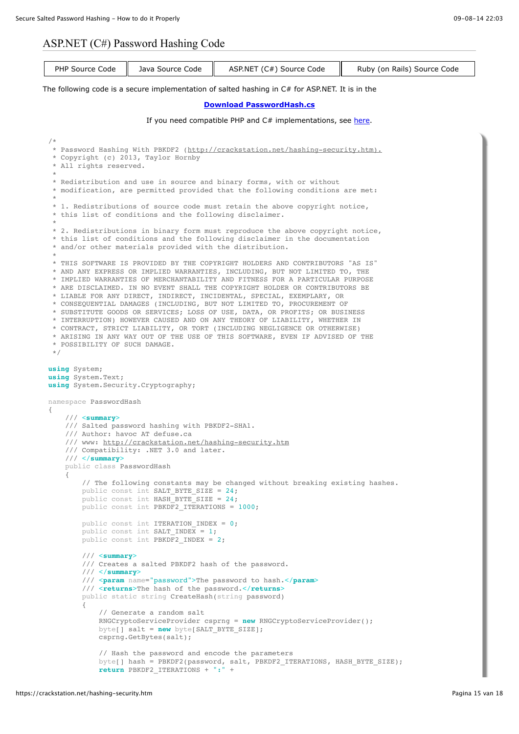# ASP.NET (C#) Password Hashing Code

```
PHP Source Code \parallelJava Source Code \parallelASP.NET (C#) Source Code \parallelRuby (on Rails) Source Code
The following code is a secure implementation of salted hashing in C# for ASP.NET. It is in the
                                       Download PasswordHash.cs
                          here.
 /* 
  * Password Hashing With PBKDF2 (http://crackstation.net/hashing-security.htm).
   * Copyright (c) 2013, Taylor Hornby
   * All rights reserved.
  *
   * Redistribution and use in source and binary forms, with or without 
   * modification, are permitted provided that the following conditions are met:
  *
   * 1. Redistributions of source code must retain the above copyright notice, 
   * this list of conditions and the following disclaimer.
  *
   * 2. Redistributions in binary form must reproduce the above copyright notice,
   * this list of conditions and the following disclaimer in the documentation 
   * and/or other materials provided with the distribution.
  *
   * THIS SOFTWARE IS PROVIDED BY THE COPYRIGHT HOLDERS AND CONTRIBUTORS "AS IS" 
   * AND ANY EXPRESS OR IMPLIED WARRANTIES, INCLUDING, BUT NOT LIMITED TO, THE 
   * IMPLIED WARRANTIES OF MERCHANTABILITY AND FITNESS FOR A PARTICULAR PURPOSE 
   * ARE DISCLAIMED. IN NO EVENT SHALL THE COPYRIGHT HOLDER OR CONTRIBUTORS BE 
   * LIABLE FOR ANY DIRECT, INDIRECT, INCIDENTAL, SPECIAL, EXEMPLARY, OR 
   * CONSEQUENTIAL DAMAGES (INCLUDING, BUT NOT LIMITED TO, PROCUREMENT OF 
   * SUBSTITUTE GOODS OR SERVICES; LOSS OF USE, DATA, OR PROFITS; OR BUSINESS 
   * INTERRUPTION) HOWEVER CAUSED AND ON ANY THEORY OF LIABILITY, WHETHER IN 
  * CONTRACT, STRICT LIABILITY, OR TORT (INCLUDING NEGLIGENCE OR OTHERWISE) 
  * ARISING IN ANY WAY OUT OF THE USE OF THIS SOFTWARE, EVEN IF ADVISED OF THE 
   * POSSIBILITY OF SUCH DAMAGE.
   */
 using System;
 using System.Text;
 using System.Security.Cryptography;
 namespace PasswordHash
 {
      /// <summary>
      /// Salted password hashing with PBKDF2-SHA1.
      /// Author: havoc AT defuse.ca
      /// www: http://crackstation.net/hashing-security.htm
      /// Compatibility: .NET 3.0 and later.
      /// </summary>
      public class PasswordHash
      {
          // The following constants may be changed without breaking existing hashes.
         public const int SALT_BYTE_SIZE = 24;
         public const int HASH BYTE SIZE = 24;
         public const int PBKDF2 ITERATIONS = 1000;
         public const int ITERATION INDEX = 0;
         public const int SALT INDEX = 1;
          public const int PBKDF2_INDEX = 2;
          /// <summary>
          /// Creates a salted PBKDF2 hash of the password.
          /// </summary>
          /// <param name="password">The password to hash.</param>
          /// <returns>The hash of the password.</returns>
          public static string CreateHash(string password)
 \{ // Generate a random salt
              RNGCryptoServiceProvider csprng = new RNGCryptoServiceProvider();
             byte[] salt = new byte[SALT BYTE SIZE];
              csprng.GetBytes(salt);
              // Hash the password and encode the parameters
              byte[] hash = PBKDF2(password, salt, PBKDF2_ITERATIONS, HASH_BYTE_SIZE);
             return PBKDF2 ITERATIONS + ":"
```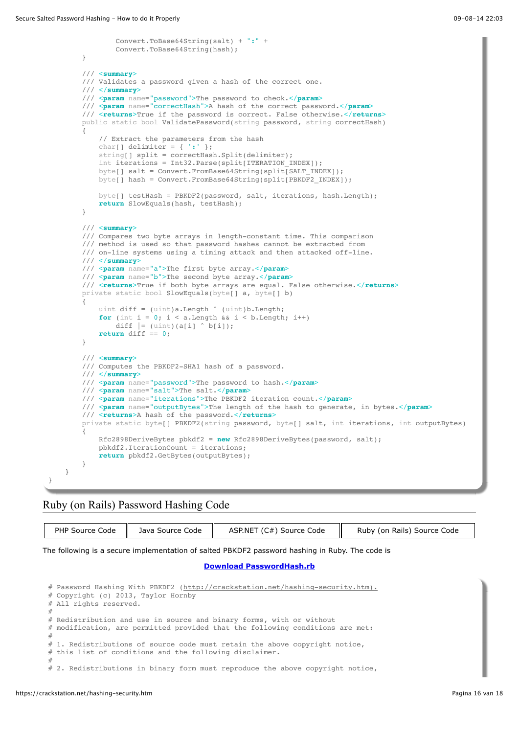```
 Convert.ToBase64String(salt) + ":" +
                Convert.ToBase64String(hash);
         }
         /// <summary>
         /// Validates a password given a hash of the correct one.
         /// </summary>
         /// <param name="password">The password to check.</param>
         /// <param name="correctHash">A hash of the correct password.</param>
         /// <returns>True if the password is correct. False otherwise.</returns>
       public static bool ValidatePassword(string password, string correctHash)
\{ // Extract the parameters from the hash
            char[] delimiter = \{ ' : ' \};
            string[] split = correctHash.Split(delimiter);
             int iterations = Int32.Parse(split[ITERATION_INDEX]);
            byte[] salt = Convert.FromBase64String(split[SALT_INDEX]);
            byte[] hash = Convert.FromBase64String(split[PBKDF2_INDEX]);
             byte[] testHash = PBKDF2(password, salt, iterations, hash.Length);
             return SlowEquals(hash, testHash);
        }
         /// <summary>
         /// Compares two byte arrays in length-constant time. This comparison
         /// method is used so that password hashes cannot be extracted from
         /// on-line systems using a timing attack and then attacked off-line.
         /// </summary>
         /// <param name="a">The first byte array.</param>
         /// <param name="b">The second byte array.</param>
         /// <returns>True if both byte arrays are equal. False otherwise.</returns>
        private static bool SlowEquals(byte[] a, byte[] b)
\{uint diff = (uint)a.Length ^ (uint)b.Length;
            for (int i = 0; i < a. Length \&b i < b. Length; i++)diff = (uint)(a[i] \hat{b} b[i]);
             return diff == 0;
        }
         /// <summary>
         /// Computes the PBKDF2-SHA1 hash of a password.
         /// </summary>
         /// <param name="password">The password to hash.</param>
         /// <param name="salt">The salt.</param>
         /// <param name="iterations">The PBKDF2 iteration count.</param>
         /// <param name="outputBytes">The length of the hash to generate, in bytes.</param>
         /// <returns>A hash of the password.</returns>
        private static byte[] PBKDF2(string password, byte[] salt, int iterations, int outputBytes)
\{ Rfc2898DeriveBytes pbkdf2 = new Rfc2898DeriveBytes(password, salt);
             pbkdf2.IterationCount = iterations;
             return pbkdf2.GetBytes(outputBytes);
        }
    }
```
#### Ruby (on Rails) Password Hashing Code

|  | PHP Source Code   Java Source Code | ASP.NET (C#) Source Code | Ruby (on Rails) Source Code |
|--|------------------------------------|--------------------------|-----------------------------|
|--|------------------------------------|--------------------------|-----------------------------|

The following is a secure implementation of salted PBKDF2 password hashing in Ruby. The code is

#### **[Download PasswordHash.rb](https://crackstation.net/source/password-hashing/PasswordHash.rb)**

```
# Password Hashing With PBKDF2 (http://crackstation.net/hashing-security.htm).
# Copyright (c) 2013, Taylor Hornby
# All rights reserved.
# 
# Redistribution and use in source and binary forms, with or without 
# modification, are permitted provided that the following conditions are met:
# 
# 1. Redistributions of source code must retain the above copyright notice, 
# this list of conditions and the following disclaimer.
# 
# 2. Redistributions in binary form must reproduce the above copyright notice,
```
}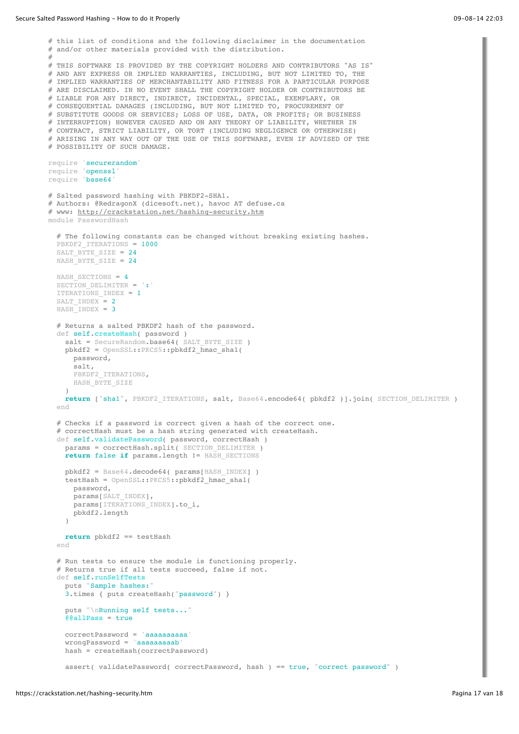```
# this list of conditions and the following disclaimer in the documentation 
# and/or other materials provided with the distribution.
# 
# THIS SOFTWARE IS PROVIDED BY THE COPYRIGHT HOLDERS AND CONTRIBUTORS "AS IS" 
# AND ANY EXPRESS OR IMPLIED WARRANTIES, INCLUDING, BUT NOT LIMITED TO, THE 
# IMPLIED WARRANTIES OF MERCHANTABILITY AND FITNESS FOR A PARTICULAR PURPOSE 
# ARE DISCLAIMED. IN NO EVENT SHALL THE COPYRIGHT HOLDER OR CONTRIBUTORS BE 
# LIABLE FOR ANY DIRECT, INDIRECT, INCIDENTAL, SPECIAL, EXEMPLARY, OR 
# CONSEQUENTIAL DAMAGES (INCLUDING, BUT NOT LIMITED TO, PROCUREMENT OF 
# SUBSTITUTE GOODS OR SERVICES; LOSS OF USE, DATA, OR PROFITS; OR BUSINESS 
# INTERRUPTION) HOWEVER CAUSED AND ON ANY THEORY OF LIABILITY, WHETHER IN 
# CONTRACT, STRICT LIABILITY, OR TORT (INCLUDING NEGLIGENCE OR OTHERWISE) 
# ARISING IN ANY WAY OUT OF THE USE OF THIS SOFTWARE, EVEN IF ADVISED OF THE 
# POSSIBILITY OF SUCH DAMAGE.
require 'securerandom'
require 'openssl'
require 'base64'
# Salted password hashing with PBKDF2-SHA1.
# Authors: @RedragonX (dicesoft.net), havoc AT defuse.ca 
# www: http://crackstation.net/hashing-security.htm
module PasswordHash
   # The following constants can be changed without breaking existing hashes.
  PBKDF2 ITERATIONS = 1000
  SALT BYTE SIZE = 24 HASH_BYTE_SIZE = 24
  HASH SECTIONS = 4SECTION DELIMITER = ':'
   ITERATIONS_INDEX = 1
  SALT INDEX = 2HASH INDEX = 3
   # Returns a salted PBKDF2 hash of the password.
  def self.createHash( password )
    salt = SecureRandom.base64( SALT BYTE SIZE )
     pbkdf2 = OpenSSL::PKCS5::pbkdf2_hmac_sha1(
      password,
       salt,
     PBKDF2_ITERATIONS,
      HASH_BYTE_SIZE
\qquad \qquad return ["sha1", PBKDF2_ITERATIONS, salt, Base64.encode64( pbkdf2 )].join( SECTION_DELIMITER )
   end
   # Checks if a password is correct given a hash of the correct one.
   # correctHash must be a hash string generated with createHash.
  def self.validatePassword( password, correctHash )
    params = correctHash.split( SECTION DELIMITER )
     return false if params.length != HASH_SECTIONS
     pbkdf2 = Base64.decode64( params[HASH_INDEX] )
     testHash = OpenSSL::PKCS5::pbkdf2_hmac_sha1(
      password,
       params[SALT_INDEX],
      params[ITERATIONS_INDEX].to i,
       pbkdf2.length
    \rightarrow return pbkdf2 == testHash
   end
   # Run tests to ensure the module is functioning properly.
   # Returns true if all tests succeed, false if not.
   def self.runSelfTests
     puts "Sample hashes:"
     3.times { puts createHash("password") }
     puts "\nRunning self tests..."
    @6a11Pass = true correctPassword = 'aaaaaaaaaa'
     wrongPassword = 'aaaaaaaaab'
     hash = createHash(correctPassword)
     assert( validatePassword( correctPassword, hash ) == true, "correct password" )
```